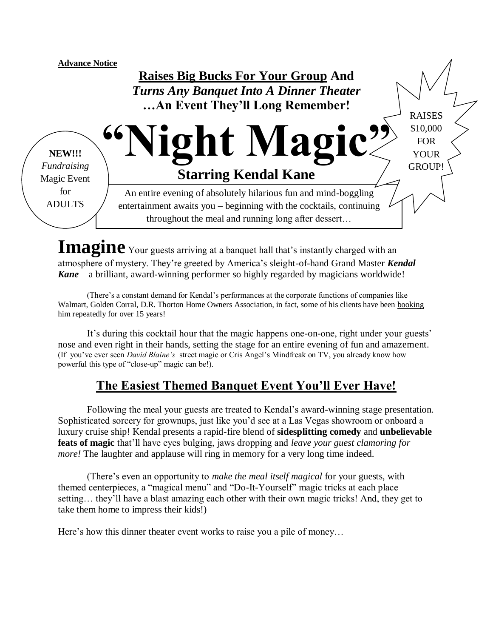

Imagine<sup>Your</sup> guests arriving at a banquet hall that's instantly charged with an atmosphere of mystery. They're greeted by America's sleight-of-hand Grand Master *Kendal Kane* – a brilliant, award-winning performer so highly regarded by magicians worldwide!

(There's a constant demand for Kendal's performances at the corporate functions of companies like Walmart, Golden Corral, D.R. Thorton Home Owners Association, in fact, some of his clients have been booking him repeatedly for over 15 years!

It's during this cocktail hour that the magic happens one-on-one, right under your guests' nose and even right in their hands, setting the stage for an entire evening of fun and amazement. (If you've ever seen *David Blaine's* street magic or Cris Angel's Mindfreak on TV, you already know how powerful this type of "close-up" magic can be!).

# **The Easiest Themed Banquet Event You'll Ever Have!**

Following the meal your guests are treated to Kendal's award-winning stage presentation. Sophisticated sorcery for grownups, just like you'd see at a Las Vegas showroom or onboard a luxury cruise ship! Kendal presents a rapid-fire blend of **sidesplitting comedy** and **unbelievable feats of magic** that'll have eyes bulging, jaws dropping and *leave your guest clamoring for more!* The laughter and applause will ring in memory for a very long time indeed.

(There's even an opportunity to *make the meal itself magical* for your guests, with themed centerpieces, a "magical menu" and "Do-It-Yourself" magic tricks at each place setting… they'll have a blast amazing each other with their own magic tricks! And, they get to take them home to impress their kids!)

Here's how this dinner theater event works to raise you a pile of money...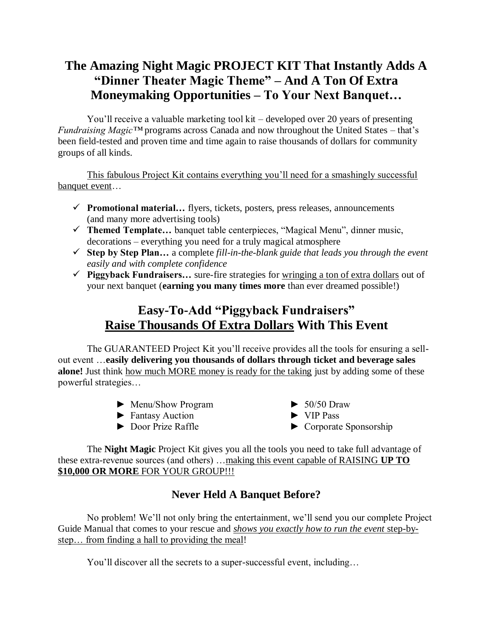# **The Amazing Night Magic PROJECT KIT That Instantly Adds A "Dinner Theater Magic Theme" – And A Ton Of Extra Moneymaking Opportunities – To Your Next Banquet…**

You'll receive a valuable marketing tool kit – developed over 20 years of presenting *Fundraising Magic™* programs across Canada and now throughout the United States – that's been field-tested and proven time and time again to raise thousands of dollars for community groups of all kinds.

This fabulous Project Kit contains everything you'll need for a smashingly successful banquet event...

- **Promotional material…** flyers, tickets, posters, press releases, announcements (and many more advertising tools)
- **Themed Template…** banquet table centerpieces, "Magical Menu", dinner music, decorations – everything you need for a truly magical atmosphere
- **Step by Step Plan…** a complete *fill-in-the-blank guide that leads you through the event easily and with complete confidence*
- **Piggyback Fundraisers…** sure-fire strategies for wringing a ton of extra dollars out of your next banquet (**earning you many times more** than ever dreamed possible!)

# **Easy-To-Add "Piggyback Fundraisers" Raise Thousands Of Extra Dollars With This Event**

The GUARANTEED Project Kit you'll receive provides all the tools for ensuring a sellout event …**easily delivering you thousands of dollars through ticket and beverage sales alone!** Just think how much MORE money is ready for the taking just by adding some of these powerful strategies…

- ► Menu/Show Program ► 50/50 Draw
- ► Fantasy Auction ► VIP Pass
- 
- 
- 
- ► Door Prize Raffle ► Corporate Sponsorship

The **Night Magic** Project Kit gives you all the tools you need to take full advantage of these extra-revenue sources (and others) …making this event capable of RAISING **UP TO \$10,000 OR MORE** FOR YOUR GROUP!!!

# **Never Held A Banquet Before?**

No problem! We'll not only bring the entertainment, we'll send you our complete Project Guide Manual that comes to your rescue and *shows you exactly how to run the event* step-bystep... from finding a hall to providing the meal!

You'll discover all the secrets to a super-successful event, including…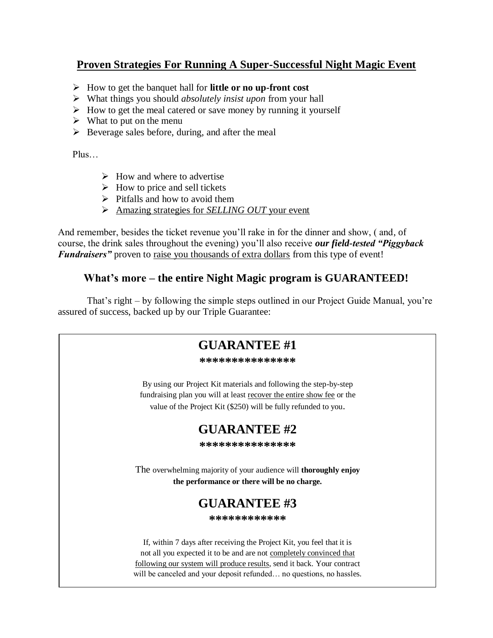# **Proven Strategies For Running A Super-Successful Night Magic Event**

- How to get the banquet hall for **little or no up-front cost**
- What things you should *absolutely insist upon* from your hall
- $\triangleright$  How to get the meal catered or save money by running it yourself
- $\triangleright$  What to put on the menu
- $\triangleright$  Beverage sales before, during, and after the meal

Plus…

- $\triangleright$  How and where to advertise
- $\triangleright$  How to price and sell tickets
- $\triangleright$  Pitfalls and how to avoid them
- Amazing strategies for *SELLING OUT* your event

And remember, besides the ticket revenue you'll rake in for the dinner and show, ( and, of course, the drink sales throughout the evening) you'll also receive *our field-tested "Piggyback Fundraisers*" proven to raise you thousands of extra dollars from this type of event!

# **What's more – the entire Night Magic program is GUARANTEED!**

That's right – by following the simple steps outlined in our Project Guide Manual, you're assured of success, backed up by our Triple Guarantee:

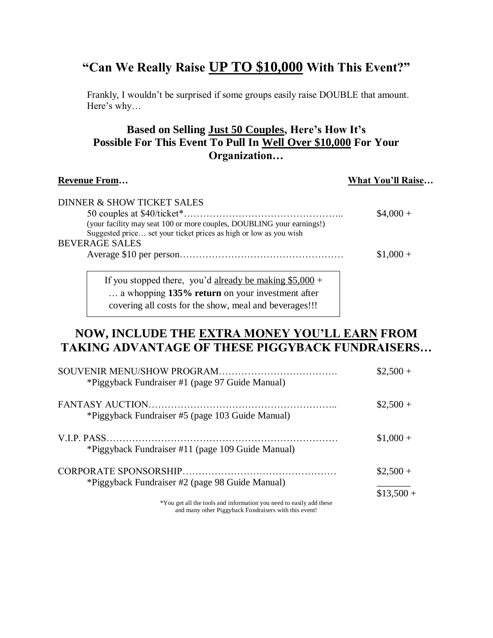# **"Can We Really Raise UP TO \$10,000 With This Event?"**

Frankly, I wouldn't be surprised if some groups easily raise DOUBLE that amount. Here's why…

# **Based on Selling Just 50 Couples, Here's How It's Possible For This Event To Pull In Well Over \$10,000 For Your Organization…**

#### **Revenue From… What You'll Raise…**

| DINNER & SHOW TICKET SALES                                                                                                                                                                                                                                |            |
|-----------------------------------------------------------------------------------------------------------------------------------------------------------------------------------------------------------------------------------------------------------|------------|
|                                                                                                                                                                                                                                                           | $$4,000+$  |
| (your facility may seat 100 or more couples, DOUBLING your earnings!)                                                                                                                                                                                     |            |
| Suggested price set your ticket prices as high or low as you wish                                                                                                                                                                                         |            |
| <b>BEVERAGE SALES</b>                                                                                                                                                                                                                                     |            |
|                                                                                                                                                                                                                                                           | $$1,000 +$ |
|                                                                                                                                                                                                                                                           |            |
| $T_{1}^{0}$ (1.1) $T_{1}^{1}$ (1.1) $T_{1}^{1}$ (1.1) $T_{2}^{0}$ (1.1) $T_{3}^{0}$ (1.1) $T_{4}^{0}$ (1.1) $T_{5}^{0}$ (1.1) $T_{6}^{0}$ (1.1) $T_{7}^{0}$ (1.1) $T_{8}^{0}$ (1.1) $T_{9}^{0}$ (1.1) $T_{1}^{0}$ (1.1) $T_{1}^{0}$ (1.1) $T_{1}^{0}$ (1. |            |

If you stopped there, you'd already be making  $$5,000 +$ … a whopping **135% return** on your investment after covering all costs for the show, meal and beverages!!!

# **NOW, INCLUDE THE EXTRA MONEY YOU'LL EARN FROM TAKING ADVANTAGE OF THESE PIGGYBACK FUNDRAISERS…**

| *Piggyback Fundraiser #1 (page 97 Guide Manual)                     | $$2,500+$   |
|---------------------------------------------------------------------|-------------|
| *Piggyback Fundraiser #5 (page 103 Guide Manual)                    | $\$2,500 +$ |
| *Piggyback Fundraiser #11 (page 109 Guide Manual)                   | $$1,000 +$  |
| *Piggyback Fundraiser #2 (page 98 Guide Manual)                     | $\$2,500 +$ |
| *You get all the tools and information you need to easily add these | $$13,500 +$ |

and many other Piggyback Fundraisers with this event!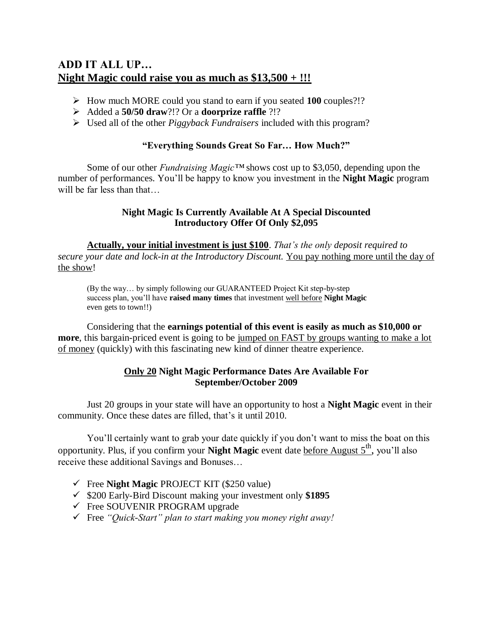# **ADD IT ALL UP… Night Magic could raise you as much as \$13,500 + !!!**

- How much MORE could you stand to earn if you seated **100** couples?!?
- Added a **50/50 draw**?!? Or a **doorprize raffle** ?!?
- Used all of the other *Piggyback Fundraisers* included with this program?

#### **"Everything Sounds Great So Far… How Much?"**

Some of our other *Fundraising Magic™* shows cost up to \$3,050, depending upon the number of performances. You'll be happy to know you investment in the **Night Magic** program will be far less than that

#### **Night Magic Is Currently Available At A Special Discounted Introductory Offer Of Only \$2,095**

**Actually, your initial investment is just \$100**. *That's the only deposit required to secure your date and lock-in at the Introductory Discount.* You pay nothing more until the day of the show!

(By the way… by simply following our GUARANTEED Project Kit step-by-step success plan, you'll have **raised many times** that investment well before **Night Magic** even gets to town!!)

Considering that the **earnings potential of this event is easily as much as \$10,000 or more**, this bargain-priced event is going to be jumped on FAST by groups wanting to make a lot of money (quickly) with this fascinating new kind of dinner theatre experience.

#### **Only 20 Night Magic Performance Dates Are Available For September/October 2009**

Just 20 groups in your state will have an opportunity to host a **Night Magic** event in their community. Once these dates are filled, that's it until 2010.

You'll certainly want to grab your date quickly if you don't want to miss the boat on this opportunity. Plus, if you confirm your **Night Magic** event date before August 5<sup>th</sup>, you'll also receive these additional Savings and Bonuses…

- Free **Night Magic** PROJECT KIT (\$250 value)
- \$200 Early-Bird Discount making your investment only **\$1895**
- $\checkmark$  Free SOUVENIR PROGRAM upgrade
- Free *"Quick-Start" plan to start making you money right away!*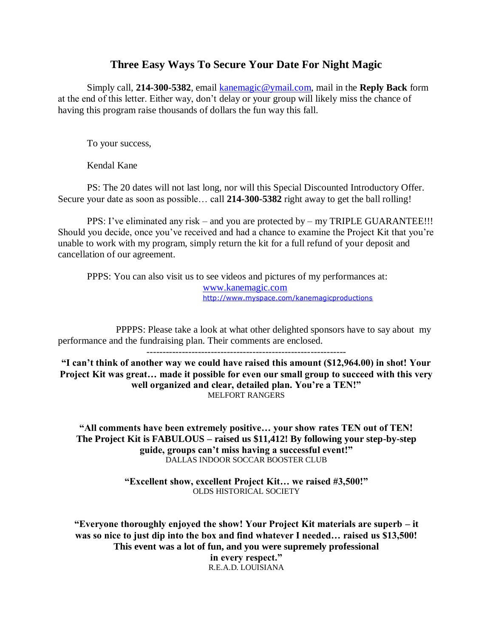#### **Three Easy Ways To Secure Your Date For Night Magic**

Simply call, **214-300-5382**, email [kanemagic@ymail.com,](mailto:kanemagic@ymail.com) mail in the **Reply Back** form at the end of this letter. Either way, don't delay or your group will likely miss the chance of having this program raise thousands of dollars the fun way this fall.

To your success,

Kendal Kane

PS: The 20 dates will not last long, nor will this Special Discounted Introductory Offer. Secure your date as soon as possible… call **214-300-5382** right away to get the ball rolling!

PPS: I've eliminated any risk – and you are protected by – my TRIPLE GUARANTEE!!! Should you decide, once you've received and had a chance to examine the Project Kit that you're unable to work with my program, simply return the kit for a full refund of your deposit and cancellation of our agreement.

PPPS: You can also visit us to see videos and pictures of my performances at: [www.kanemagic.com](http://www.kanemagic.com/) <http://www.myspace.com/kanemagicproductions>

PPPPS: Please take a look at what other delighted sponsors have to say about my performance and the fundraising plan. Their comments are enclosed.

--------------------------------------------------------------

**"I can't think of another way we could have raised this amount (\$12,964.00) in shot! Your Project Kit was great… made it possible for even our small group to succeed with this very well organized and clear, detailed plan. You're a TEN!"** MELFORT RANGERS

**"All comments have been extremely positive… your show rates TEN out of TEN! The Project Kit is FABULOUS – raised us \$11,412! By following your step-by-step guide, groups can't miss having a successful event!"** DALLAS INDOOR SOCCAR BOOSTER CLUB

> **"Excellent show, excellent Project Kit… we raised #3,500!"** OLDS HISTORICAL SOCIETY

**"Everyone thoroughly enjoyed the show! Your Project Kit materials are superb – it was so nice to just dip into the box and find whatever I needed… raised us \$13,500! This event was a lot of fun, and you were supremely professional in every respect."** R.E.A.D. LOUISIANA